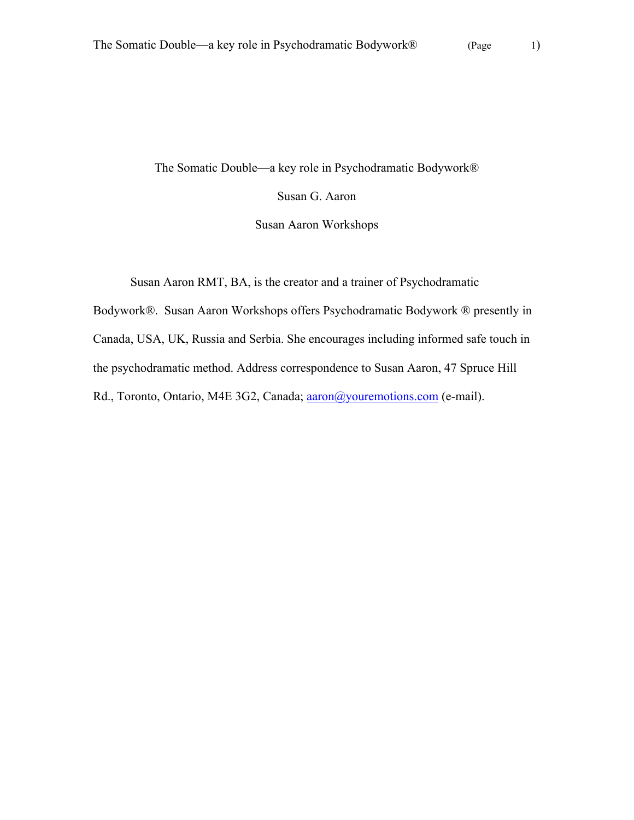The Somatic Double—a key role in Psychodramatic Bodywork®

Susan G. Aaron

Susan Aaron Workshops

Susan Aaron RMT, BA, is the creator and a trainer of Psychodramatic

Bodywork®. Susan Aaron Workshops offers Psychodramatic Bodywork ® presently in Canada, USA, UK, Russia and Serbia. She encourages including informed safe touch in the psychodramatic method. Address correspondence to Susan Aaron, 47 Spruce Hill Rd., Toronto, Ontario, M4E 3G2, Canada; aaron@youremotions.com (e-mail).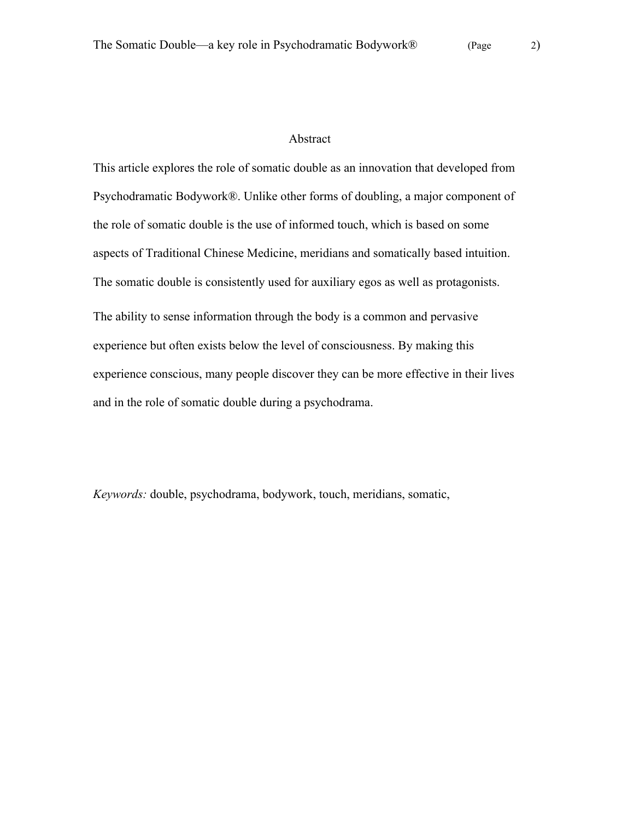# Abstract

This article explores the role of somatic double as an innovation that developed from Psychodramatic Bodywork®. Unlike other forms of doubling, a major component of the role of somatic double is the use of informed touch, which is based on some aspects of Traditional Chinese Medicine, meridians and somatically based intuition. The somatic double is consistently used for auxiliary egos as well as protagonists. The ability to sense information through the body is a common and pervasive experience but often exists below the level of consciousness. By making this experience conscious, many people discover they can be more effective in their lives and in the role of somatic double during a psychodrama.

*Keywords:* double, psychodrama, bodywork, touch, meridians, somatic,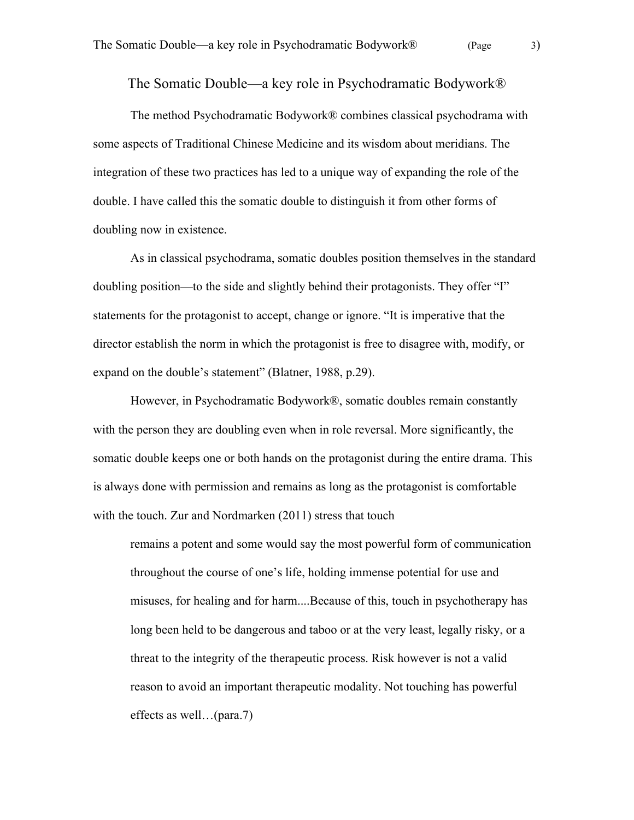The Somatic Double—a key role in Psychodramatic Bodywork®

The method Psychodramatic Bodywork® combines classical psychodrama with some aspects of Traditional Chinese Medicine and its wisdom about meridians. The integration of these two practices has led to a unique way of expanding the role of the double. I have called this the somatic double to distinguish it from other forms of doubling now in existence.

As in classical psychodrama, somatic doubles position themselves in the standard doubling position—to the side and slightly behind their protagonists. They offer "I" statements for the protagonist to accept, change or ignore. "It is imperative that the director establish the norm in which the protagonist is free to disagree with, modify, or expand on the double's statement" (Blatner, 1988, p.29).

However, in Psychodramatic Bodywork®, somatic doubles remain constantly with the person they are doubling even when in role reversal. More significantly, the somatic double keeps one or both hands on the protagonist during the entire drama. This is always done with permission and remains as long as the protagonist is comfortable with the touch. Zur and Nordmarken (2011) stress that touch

remains a potent and some would say the most powerful form of communication throughout the course of one's life, holding immense potential for use and misuses, for healing and for harm....Because of this, touch in psychotherapy has long been held to be dangerous and taboo or at the very least, legally risky, or a threat to the integrity of the therapeutic process. Risk however is not a valid reason to avoid an important therapeutic modality. Not touching has powerful effects as well…(para.7)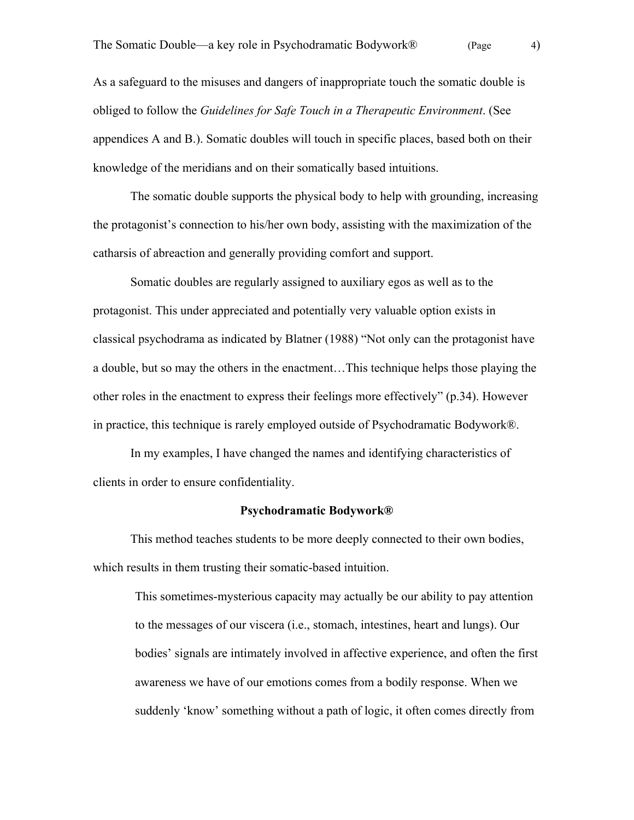As a safeguard to the misuses and dangers of inappropriate touch the somatic double is obliged to follow the *Guidelines for Safe Touch in a Therapeutic Environment*. (See appendices A and B.). Somatic doubles will touch in specific places, based both on their knowledge of the meridians and on their somatically based intuitions.

The somatic double supports the physical body to help with grounding, increasing the protagonist's connection to his/her own body, assisting with the maximization of the catharsis of abreaction and generally providing comfort and support.

Somatic doubles are regularly assigned to auxiliary egos as well as to the protagonist. This under appreciated and potentially very valuable option exists in classical psychodrama as indicated by Blatner (1988) "Not only can the protagonist have a double, but so may the others in the enactment…This technique helps those playing the other roles in the enactment to express their feelings more effectively" (p.34). However in practice, this technique is rarely employed outside of Psychodramatic Bodywork®.

In my examples, I have changed the names and identifying characteristics of clients in order to ensure confidentiality.

#### **Psychodramatic Bodywork®**

This method teaches students to be more deeply connected to their own bodies, which results in them trusting their somatic-based intuition.

This sometimes-mysterious capacity may actually be our ability to pay attention to the messages of our viscera (i.e., stomach, intestines, heart and lungs). Our bodies' signals are intimately involved in affective experience, and often the first awareness we have of our emotions comes from a bodily response. When we suddenly 'know' something without a path of logic, it often comes directly from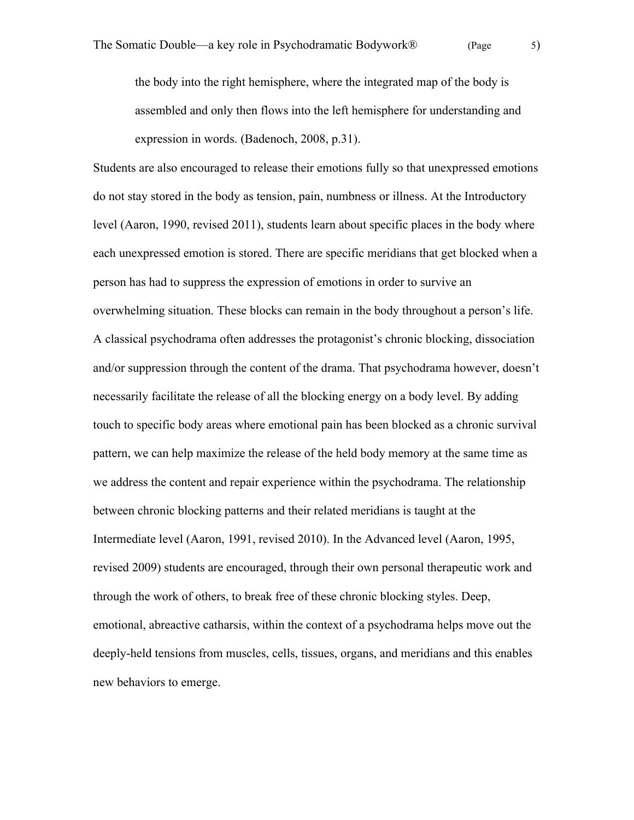the body into the right hemisphere, where the integrated map of the body is assembled and only then flows into the left hemisphere for understanding and expression in words. (Badenoch, 2008, p.31).

Students are also encouraged to release their emotions fully so that unexpressed emotions do not stay stored in the body as tension, pain, numbness or illness. At the Introductory level (Aaron, 1990, revised 2011), students learn about specific places in the body where each unexpressed emotion is stored. There are specific meridians that get blocked when a person has had to suppress the expression of emotions in order to survive an overwhelming situation. These blocks can remain in the body throughout a person's life. A classical psychodrama often addresses the protagonist's chronic blocking, dissociation and/or suppression through the content of the drama. That psychodrama however, doesn't necessarily facilitate the release of all the blocking energy on a body level. By adding touch to specific body areas where emotional pain has been blocked as a chronic survival pattern, we can help maximize the release of the held body memory at the same time as we address the content and repair experience within the psychodrama. The relationship between chronic blocking patterns and their related meridians is taught at the Intermediate level (Aaron, 1991, revised 2010). In the Advanced level (Aaron, 1995, revised 2009) students are encouraged, through their own personal therapeutic work and through the work of others, to break free of these chronic blocking styles. Deep, emotional, abreactive catharsis, within the context of a psychodrama helps move out the deeply-held tensions from muscles, cells, tissues, organs, and meridians and this enables new behaviors to emerge.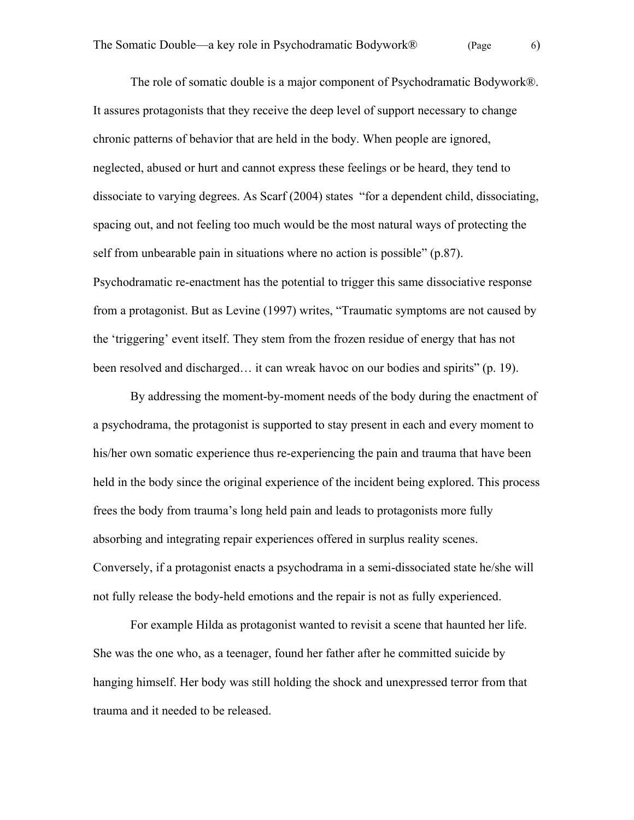The role of somatic double is a major component of Psychodramatic Bodywork®. It assures protagonists that they receive the deep level of support necessary to change chronic patterns of behavior that are held in the body. When people are ignored, neglected, abused or hurt and cannot express these feelings or be heard, they tend to dissociate to varying degrees. As Scarf (2004) states "for a dependent child, dissociating, spacing out, and not feeling too much would be the most natural ways of protecting the self from unbearable pain in situations where no action is possible" (p.87). Psychodramatic re-enactment has the potential to trigger this same dissociative response from a protagonist. But as Levine (1997) writes, "Traumatic symptoms are not caused by the 'triggering' event itself. They stem from the frozen residue of energy that has not been resolved and discharged… it can wreak havoc on our bodies and spirits" (p. 19).

By addressing the moment-by-moment needs of the body during the enactment of a psychodrama, the protagonist is supported to stay present in each and every moment to his/her own somatic experience thus re-experiencing the pain and trauma that have been held in the body since the original experience of the incident being explored. This process frees the body from trauma's long held pain and leads to protagonists more fully absorbing and integrating repair experiences offered in surplus reality scenes. Conversely, if a protagonist enacts a psychodrama in a semi-dissociated state he/she will not fully release the body-held emotions and the repair is not as fully experienced.

For example Hilda as protagonist wanted to revisit a scene that haunted her life. She was the one who, as a teenager, found her father after he committed suicide by hanging himself. Her body was still holding the shock and unexpressed terror from that trauma and it needed to be released.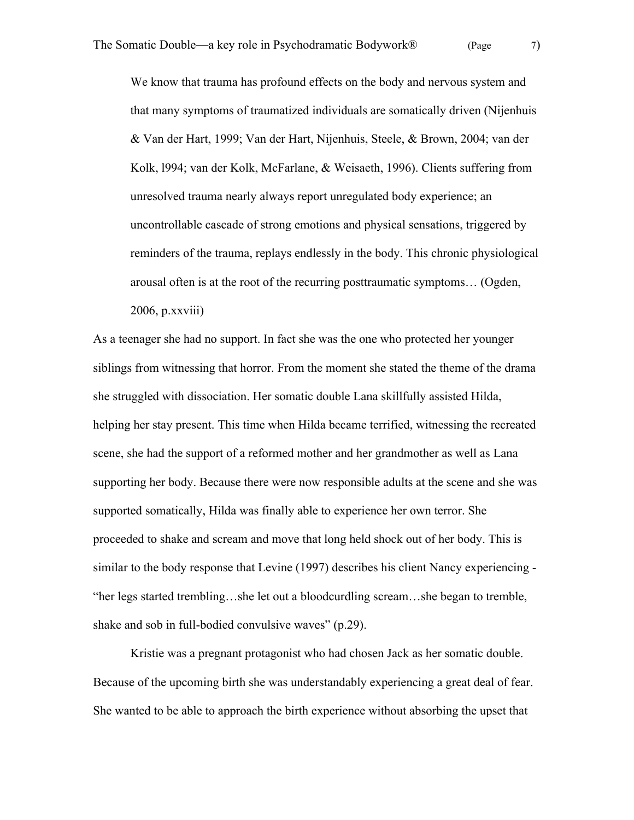We know that trauma has profound effects on the body and nervous system and that many symptoms of traumatized individuals are somatically driven (Nijenhuis & Van der Hart, 1999; Van der Hart, Nijenhuis, Steele, & Brown, 2004; van der Kolk, l994; van der Kolk, McFarlane, & Weisaeth, 1996). Clients suffering from unresolved trauma nearly always report unregulated body experience; an uncontrollable cascade of strong emotions and physical sensations, triggered by reminders of the trauma, replays endlessly in the body. This chronic physiological arousal often is at the root of the recurring posttraumatic symptoms… (Ogden, 2006, p.xxviii)

As a teenager she had no support. In fact she was the one who protected her younger siblings from witnessing that horror. From the moment she stated the theme of the drama she struggled with dissociation. Her somatic double Lana skillfully assisted Hilda, helping her stay present. This time when Hilda became terrified, witnessing the recreated scene, she had the support of a reformed mother and her grandmother as well as Lana supporting her body. Because there were now responsible adults at the scene and she was supported somatically, Hilda was finally able to experience her own terror. She proceeded to shake and scream and move that long held shock out of her body. This is similar to the body response that Levine (1997) describes his client Nancy experiencing - "her legs started trembling…she let out a bloodcurdling scream…she began to tremble, shake and sob in full-bodied convulsive waves" (p.29).

Kristie was a pregnant protagonist who had chosen Jack as her somatic double. Because of the upcoming birth she was understandably experiencing a great deal of fear. She wanted to be able to approach the birth experience without absorbing the upset that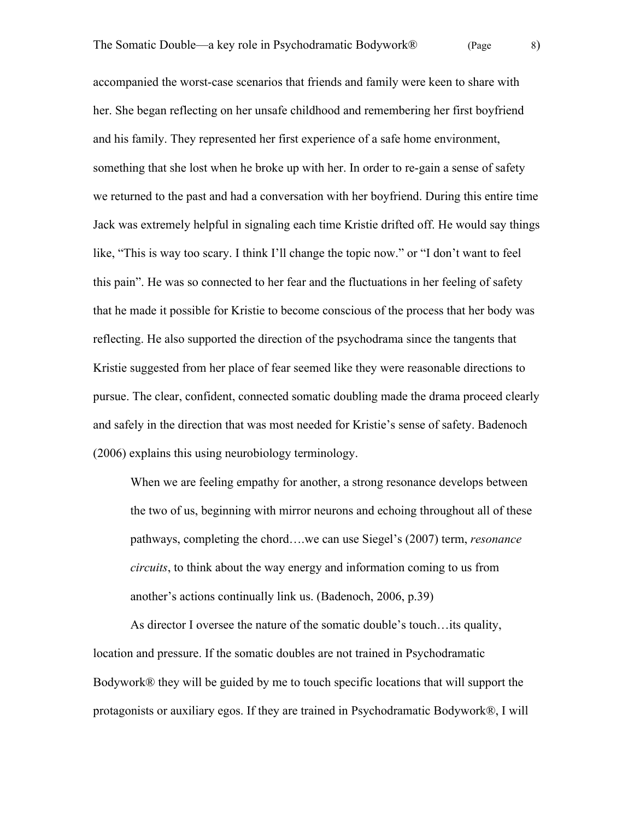accompanied the worst-case scenarios that friends and family were keen to share with her. She began reflecting on her unsafe childhood and remembering her first boyfriend and his family. They represented her first experience of a safe home environment, something that she lost when he broke up with her. In order to re-gain a sense of safety we returned to the past and had a conversation with her boyfriend. During this entire time Jack was extremely helpful in signaling each time Kristie drifted off. He would say things like, "This is way too scary. I think I'll change the topic now." or "I don't want to feel this pain". He was so connected to her fear and the fluctuations in her feeling of safety that he made it possible for Kristie to become conscious of the process that her body was reflecting. He also supported the direction of the psychodrama since the tangents that Kristie suggested from her place of fear seemed like they were reasonable directions to pursue. The clear, confident, connected somatic doubling made the drama proceed clearly and safely in the direction that was most needed for Kristie's sense of safety. Badenoch (2006) explains this using neurobiology terminology.

When we are feeling empathy for another, a strong resonance develops between the two of us, beginning with mirror neurons and echoing throughout all of these pathways, completing the chord….we can use Siegel's (2007) term, *resonance circuits*, to think about the way energy and information coming to us from another's actions continually link us. (Badenoch, 2006, p.39)

As director I oversee the nature of the somatic double's touch…its quality, location and pressure. If the somatic doubles are not trained in Psychodramatic Bodywork® they will be guided by me to touch specific locations that will support the protagonists or auxiliary egos. If they are trained in Psychodramatic Bodywork®, I will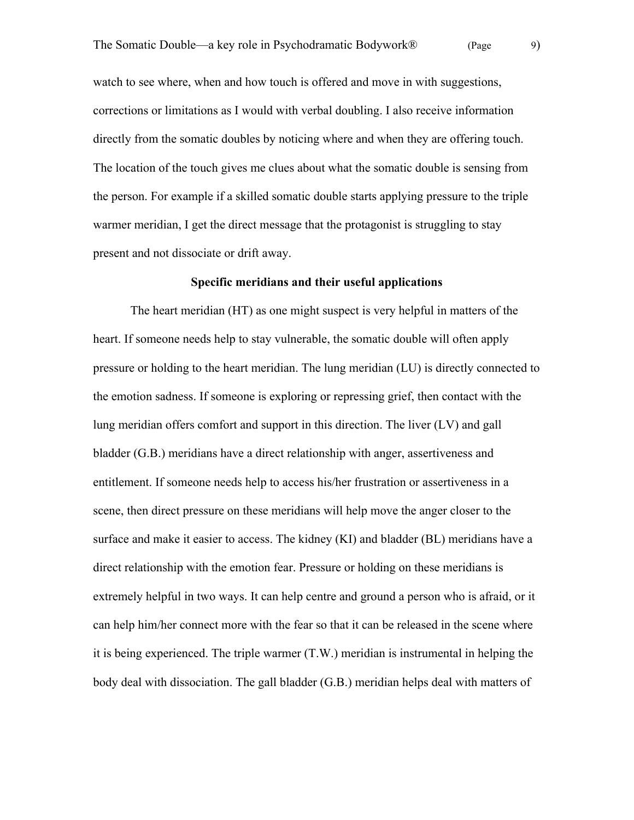watch to see where, when and how touch is offered and move in with suggestions, corrections or limitations as I would with verbal doubling. I also receive information directly from the somatic doubles by noticing where and when they are offering touch. The location of the touch gives me clues about what the somatic double is sensing from the person. For example if a skilled somatic double starts applying pressure to the triple warmer meridian, I get the direct message that the protagonist is struggling to stay present and not dissociate or drift away.

## **Specific meridians and their useful applications**

The heart meridian (HT) as one might suspect is very helpful in matters of the heart. If someone needs help to stay vulnerable, the somatic double will often apply pressure or holding to the heart meridian. The lung meridian (LU) is directly connected to the emotion sadness. If someone is exploring or repressing grief, then contact with the lung meridian offers comfort and support in this direction. The liver (LV) and gall bladder (G.B.) meridians have a direct relationship with anger, assertiveness and entitlement. If someone needs help to access his/her frustration or assertiveness in a scene, then direct pressure on these meridians will help move the anger closer to the surface and make it easier to access. The kidney (KI) and bladder (BL) meridians have a direct relationship with the emotion fear. Pressure or holding on these meridians is extremely helpful in two ways. It can help centre and ground a person who is afraid, or it can help him/her connect more with the fear so that it can be released in the scene where it is being experienced. The triple warmer (T.W.) meridian is instrumental in helping the body deal with dissociation. The gall bladder (G.B.) meridian helps deal with matters of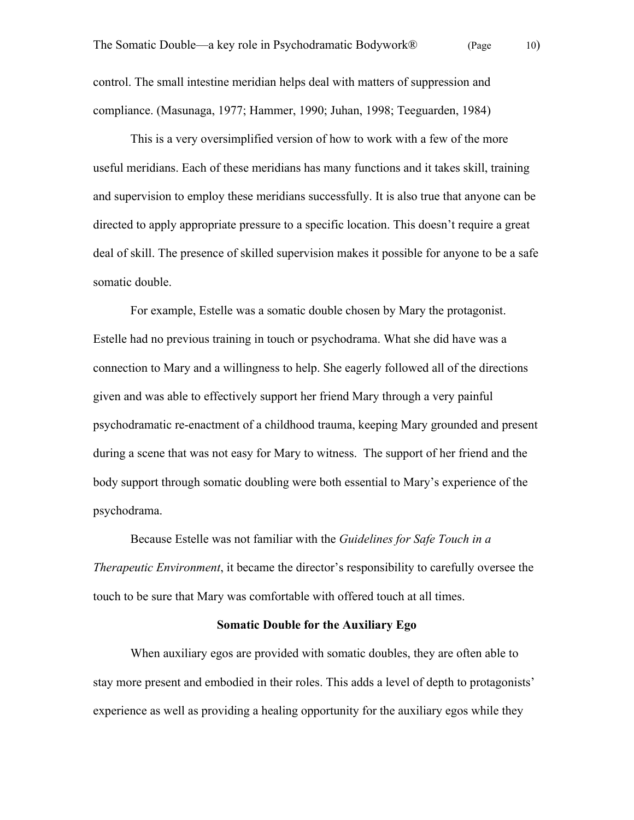control. The small intestine meridian helps deal with matters of suppression and compliance. (Masunaga, 1977; Hammer, 1990; Juhan, 1998; Teeguarden, 1984)

This is a very oversimplified version of how to work with a few of the more useful meridians. Each of these meridians has many functions and it takes skill, training and supervision to employ these meridians successfully. It is also true that anyone can be directed to apply appropriate pressure to a specific location. This doesn't require a great deal of skill. The presence of skilled supervision makes it possible for anyone to be a safe somatic double.

For example, Estelle was a somatic double chosen by Mary the protagonist. Estelle had no previous training in touch or psychodrama. What she did have was a connection to Mary and a willingness to help. She eagerly followed all of the directions given and was able to effectively support her friend Mary through a very painful psychodramatic re-enactment of a childhood trauma, keeping Mary grounded and present during a scene that was not easy for Mary to witness. The support of her friend and the body support through somatic doubling were both essential to Mary's experience of the psychodrama.

Because Estelle was not familiar with the *Guidelines for Safe Touch in a Therapeutic Environment*, it became the director's responsibility to carefully oversee the touch to be sure that Mary was comfortable with offered touch at all times.

### **Somatic Double for the Auxiliary Ego**

When auxiliary egos are provided with somatic doubles, they are often able to stay more present and embodied in their roles. This adds a level of depth to protagonists' experience as well as providing a healing opportunity for the auxiliary egos while they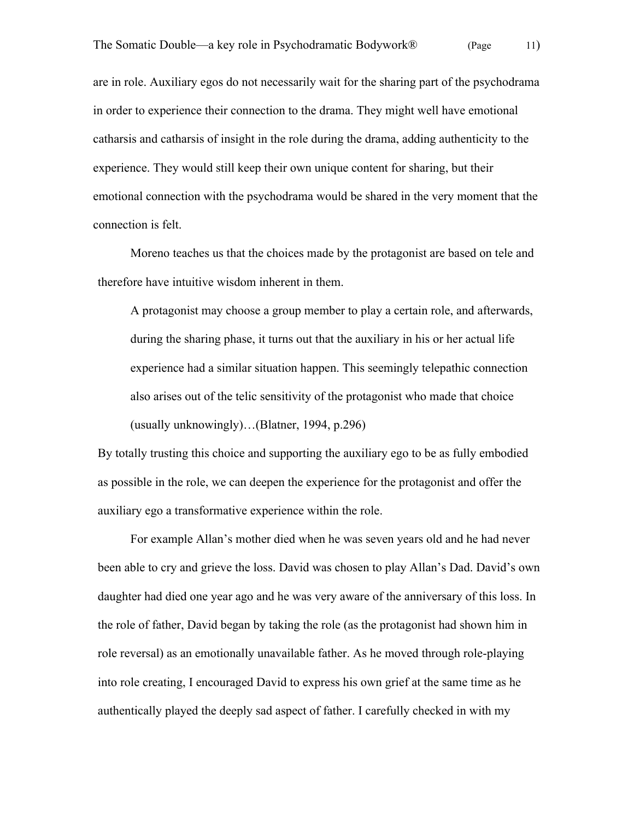are in role. Auxiliary egos do not necessarily wait for the sharing part of the psychodrama in order to experience their connection to the drama. They might well have emotional catharsis and catharsis of insight in the role during the drama, adding authenticity to the experience. They would still keep their own unique content for sharing, but their emotional connection with the psychodrama would be shared in the very moment that the connection is felt.

Moreno teaches us that the choices made by the protagonist are based on tele and therefore have intuitive wisdom inherent in them.

A protagonist may choose a group member to play a certain role, and afterwards, during the sharing phase, it turns out that the auxiliary in his or her actual life experience had a similar situation happen. This seemingly telepathic connection also arises out of the telic sensitivity of the protagonist who made that choice (usually unknowingly)…(Blatner, 1994, p.296)

By totally trusting this choice and supporting the auxiliary ego to be as fully embodied as possible in the role, we can deepen the experience for the protagonist and offer the auxiliary ego a transformative experience within the role.

For example Allan's mother died when he was seven years old and he had never been able to cry and grieve the loss. David was chosen to play Allan's Dad. David's own daughter had died one year ago and he was very aware of the anniversary of this loss. In the role of father, David began by taking the role (as the protagonist had shown him in role reversal) as an emotionally unavailable father. As he moved through role-playing into role creating, I encouraged David to express his own grief at the same time as he authentically played the deeply sad aspect of father. I carefully checked in with my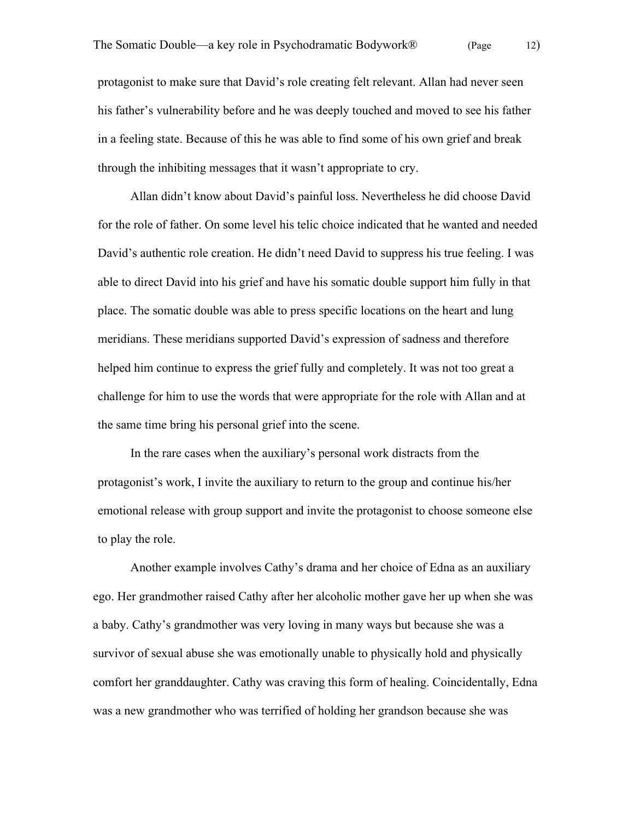protagonist to make sure that David's role creating felt relevant. Allan had never seen his father's vulnerability before and he was deeply touched and moved to see his father in a feeling state. Because of this he was able to find some of his own grief and break through the inhibiting messages that it wasn't appropriate to cry.

Allan didn't know about David's painful loss. Nevertheless he did choose David for the role of father. On some level his telic choice indicated that he wanted and needed David's authentic role creation. He didn't need David to suppress his true feeling. I was able to direct David into his grief and have his somatic double support him fully in that place. The somatic double was able to press specific locations on the heart and lung meridians. These meridians supported David's expression of sadness and therefore helped him continue to express the grief fully and completely. It was not too great a challenge for him to use the words that were appropriate for the role with Allan and at the same time bring his personal grief into the scene.

In the rare cases when the auxiliary's personal work distracts from the protagonist's work, I invite the auxiliary to return to the group and continue his/her emotional release with group support and invite the protagonist to choose someone else to play the role.

Another example involves Cathy's drama and her choice of Edna as an auxiliary ego. Her grandmother raised Cathy after her alcoholic mother gave her up when she was a baby. Cathy's grandmother was very loving in many ways but because she was a survivor of sexual abuse she was emotionally unable to physically hold and physically comfort her granddaughter. Cathy was craving this form of healing. Coincidentally, Edna was a new grandmother who was terrified of holding her grandson because she was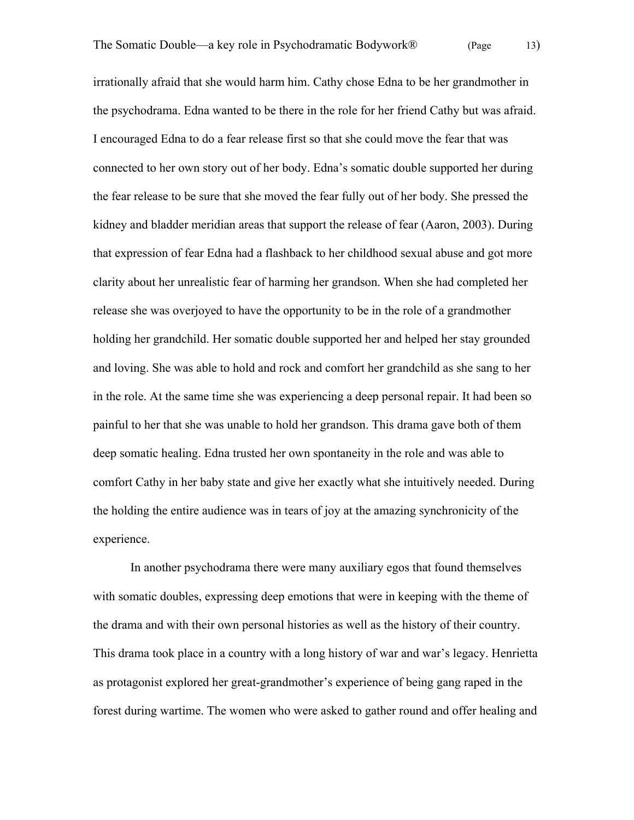irrationally afraid that she would harm him. Cathy chose Edna to be her grandmother in the psychodrama. Edna wanted to be there in the role for her friend Cathy but was afraid. I encouraged Edna to do a fear release first so that she could move the fear that was connected to her own story out of her body. Edna's somatic double supported her during the fear release to be sure that she moved the fear fully out of her body. She pressed the kidney and bladder meridian areas that support the release of fear (Aaron, 2003). During that expression of fear Edna had a flashback to her childhood sexual abuse and got more clarity about her unrealistic fear of harming her grandson. When she had completed her release she was overjoyed to have the opportunity to be in the role of a grandmother holding her grandchild. Her somatic double supported her and helped her stay grounded and loving. She was able to hold and rock and comfort her grandchild as she sang to her in the role. At the same time she was experiencing a deep personal repair. It had been so painful to her that she was unable to hold her grandson. This drama gave both of them deep somatic healing. Edna trusted her own spontaneity in the role and was able to comfort Cathy in her baby state and give her exactly what she intuitively needed. During the holding the entire audience was in tears of joy at the amazing synchronicity of the experience.

In another psychodrama there were many auxiliary egos that found themselves with somatic doubles, expressing deep emotions that were in keeping with the theme of the drama and with their own personal histories as well as the history of their country. This drama took place in a country with a long history of war and war's legacy. Henrietta as protagonist explored her great-grandmother's experience of being gang raped in the forest during wartime. The women who were asked to gather round and offer healing and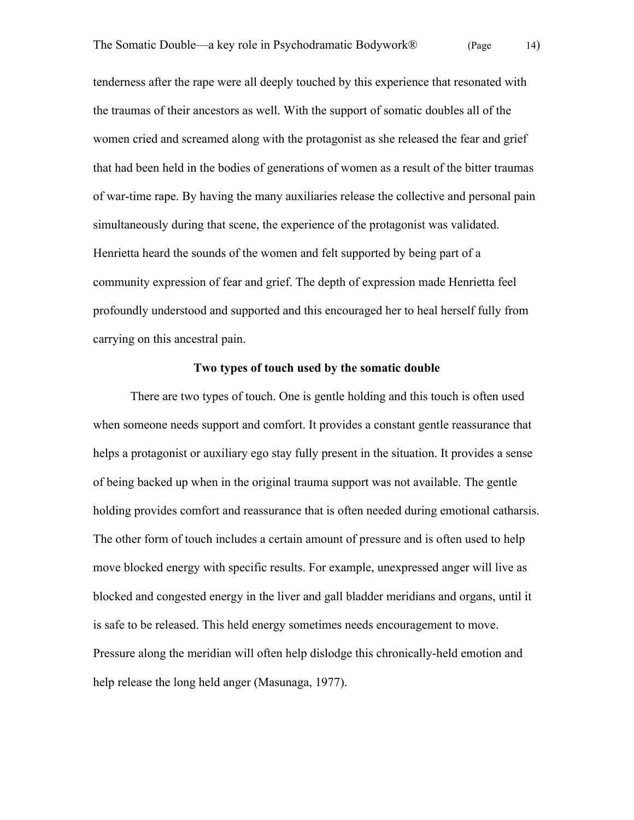tenderness after the rape were all deeply touched by this experience that resonated with the traumas of their ancestors as well. With the support of somatic doubles all of the women cried and screamed along with the protagonist as she released the fear and grief that had been held in the bodies of generations of women as a result of the bitter traumas of war-time rape. By having the many auxiliaries release the collective and personal pain simultaneously during that scene, the experience of the protagonist was validated. Henrietta heard the sounds of the women and felt supported by being part of a community expression of fear and grief. The depth of expression made Henrietta feel profoundly understood and supported and this encouraged her to heal herself fully from carrying on this ancestral pain.

#### **Two types of touch used by the somatic double**

There are two types of touch. One is gentle holding and this touch is often used when someone needs support and comfort. It provides a constant gentle reassurance that helps a protagonist or auxiliary ego stay fully present in the situation. It provides a sense of being backed up when in the original trauma support was not available. The gentle holding provides comfort and reassurance that is often needed during emotional catharsis. The other form of touch includes a certain amount of pressure and is often used to help move blocked energy with specific results. For example, unexpressed anger will live as blocked and congested energy in the liver and gall bladder meridians and organs, until it is safe to be released. This held energy sometimes needs encouragement to move. Pressure along the meridian will often help dislodge this chronically-held emotion and help release the long held anger (Masunaga, 1977).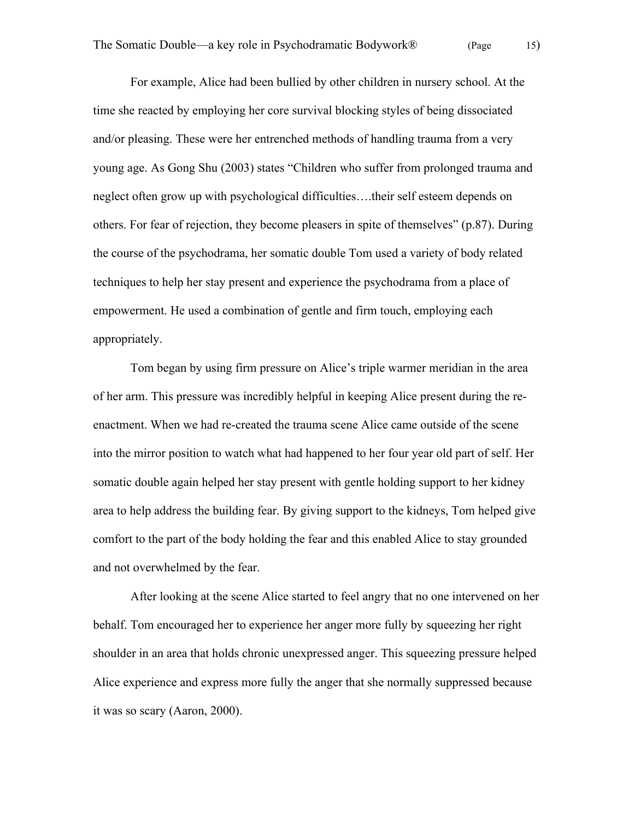For example, Alice had been bullied by other children in nursery school. At the time she reacted by employing her core survival blocking styles of being dissociated and/or pleasing. These were her entrenched methods of handling trauma from a very young age. As Gong Shu (2003) states "Children who suffer from prolonged trauma and neglect often grow up with psychological difficulties….their self esteem depends on others. For fear of rejection, they become pleasers in spite of themselves" (p.87). During the course of the psychodrama, her somatic double Tom used a variety of body related techniques to help her stay present and experience the psychodrama from a place of empowerment. He used a combination of gentle and firm touch, employing each appropriately.

Tom began by using firm pressure on Alice's triple warmer meridian in the area of her arm. This pressure was incredibly helpful in keeping Alice present during the reenactment. When we had re-created the trauma scene Alice came outside of the scene into the mirror position to watch what had happened to her four year old part of self. Her somatic double again helped her stay present with gentle holding support to her kidney area to help address the building fear. By giving support to the kidneys, Tom helped give comfort to the part of the body holding the fear and this enabled Alice to stay grounded and not overwhelmed by the fear.

After looking at the scene Alice started to feel angry that no one intervened on her behalf. Tom encouraged her to experience her anger more fully by squeezing her right shoulder in an area that holds chronic unexpressed anger. This squeezing pressure helped Alice experience and express more fully the anger that she normally suppressed because it was so scary (Aaron, 2000).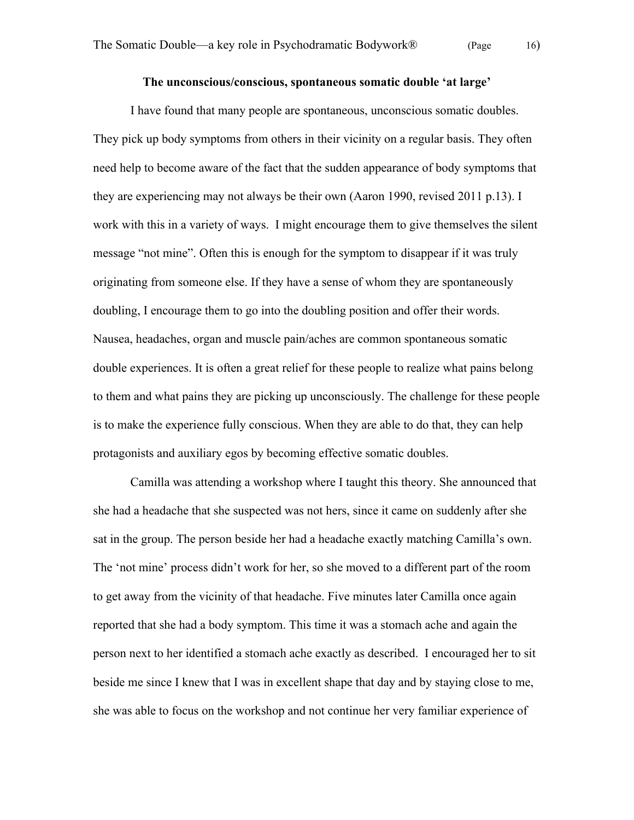## **The unconscious/conscious, spontaneous somatic double 'at large'**

I have found that many people are spontaneous, unconscious somatic doubles. They pick up body symptoms from others in their vicinity on a regular basis. They often need help to become aware of the fact that the sudden appearance of body symptoms that they are experiencing may not always be their own (Aaron 1990, revised 2011 p.13). I work with this in a variety of ways. I might encourage them to give themselves the silent message "not mine". Often this is enough for the symptom to disappear if it was truly originating from someone else. If they have a sense of whom they are spontaneously doubling, I encourage them to go into the doubling position and offer their words. Nausea, headaches, organ and muscle pain/aches are common spontaneous somatic double experiences. It is often a great relief for these people to realize what pains belong to them and what pains they are picking up unconsciously. The challenge for these people is to make the experience fully conscious. When they are able to do that, they can help protagonists and auxiliary egos by becoming effective somatic doubles.

Camilla was attending a workshop where I taught this theory. She announced that she had a headache that she suspected was not hers, since it came on suddenly after she sat in the group. The person beside her had a headache exactly matching Camilla's own. The 'not mine' process didn't work for her, so she moved to a different part of the room to get away from the vicinity of that headache. Five minutes later Camilla once again reported that she had a body symptom. This time it was a stomach ache and again the person next to her identified a stomach ache exactly as described. I encouraged her to sit beside me since I knew that I was in excellent shape that day and by staying close to me, she was able to focus on the workshop and not continue her very familiar experience of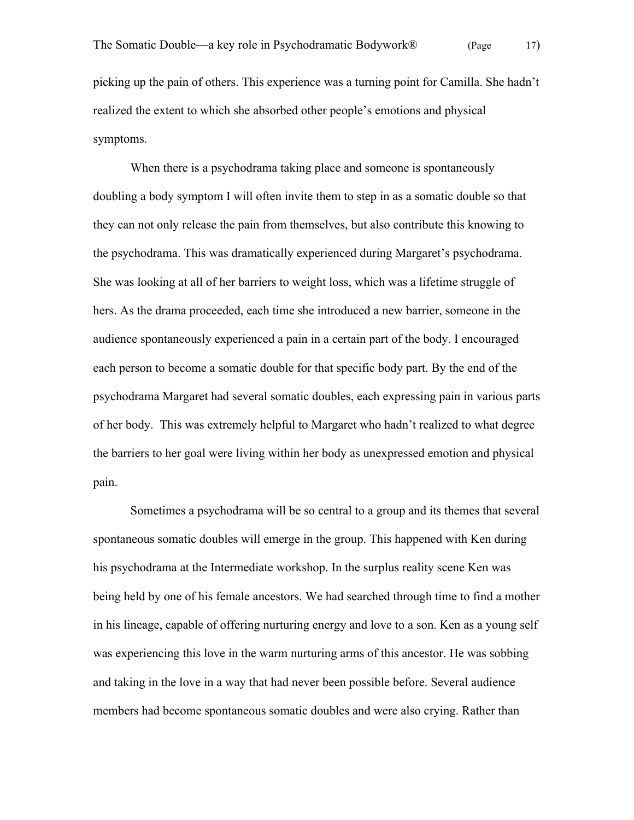picking up the pain of others. This experience was a turning point for Camilla. She hadn't realized the extent to which she absorbed other people's emotions and physical symptoms.

When there is a psychodrama taking place and someone is spontaneously doubling a body symptom I will often invite them to step in as a somatic double so that they can not only release the pain from themselves, but also contribute this knowing to the psychodrama. This was dramatically experienced during Margaret's psychodrama. She was looking at all of her barriers to weight loss, which was a lifetime struggle of hers. As the drama proceeded, each time she introduced a new barrier, someone in the audience spontaneously experienced a pain in a certain part of the body. I encouraged each person to become a somatic double for that specific body part. By the end of the psychodrama Margaret had several somatic doubles, each expressing pain in various parts of her body. This was extremely helpful to Margaret who hadn't realized to what degree the barriers to her goal were living within her body as unexpressed emotion and physical pain.

Sometimes a psychodrama will be so central to a group and its themes that several spontaneous somatic doubles will emerge in the group. This happened with Ken during his psychodrama at the Intermediate workshop. In the surplus reality scene Ken was being held by one of his female ancestors. We had searched through time to find a mother in his lineage, capable of offering nurturing energy and love to a son. Ken as a young self was experiencing this love in the warm nurturing arms of this ancestor. He was sobbing and taking in the love in a way that had never been possible before. Several audience members had become spontaneous somatic doubles and were also crying. Rather than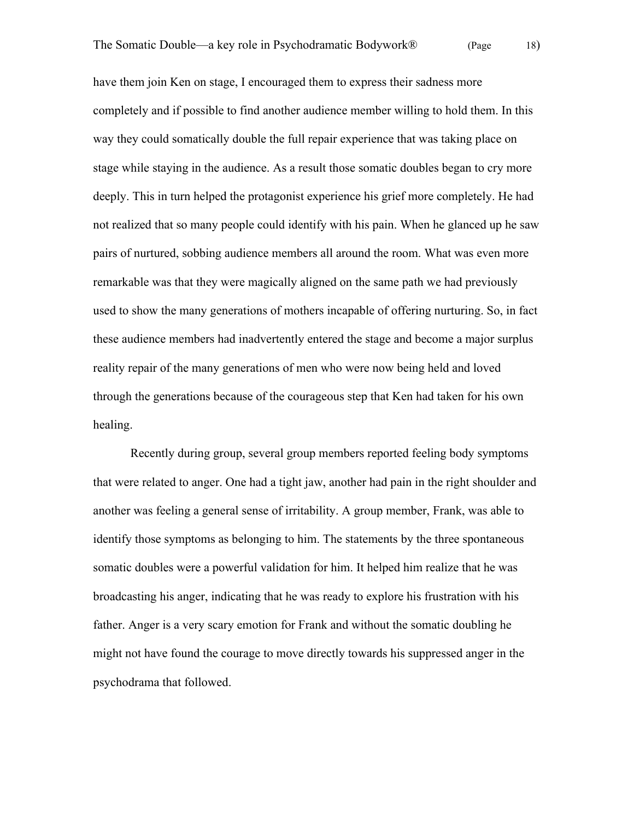have them join Ken on stage, I encouraged them to express their sadness more completely and if possible to find another audience member willing to hold them. In this way they could somatically double the full repair experience that was taking place on stage while staying in the audience. As a result those somatic doubles began to cry more deeply. This in turn helped the protagonist experience his grief more completely. He had not realized that so many people could identify with his pain. When he glanced up he saw pairs of nurtured, sobbing audience members all around the room. What was even more remarkable was that they were magically aligned on the same path we had previously used to show the many generations of mothers incapable of offering nurturing. So, in fact these audience members had inadvertently entered the stage and become a major surplus reality repair of the many generations of men who were now being held and loved through the generations because of the courageous step that Ken had taken for his own healing.

Recently during group, several group members reported feeling body symptoms that were related to anger. One had a tight jaw, another had pain in the right shoulder and another was feeling a general sense of irritability. A group member, Frank, was able to identify those symptoms as belonging to him. The statements by the three spontaneous somatic doubles were a powerful validation for him. It helped him realize that he was broadcasting his anger, indicating that he was ready to explore his frustration with his father. Anger is a very scary emotion for Frank and without the somatic doubling he might not have found the courage to move directly towards his suppressed anger in the psychodrama that followed.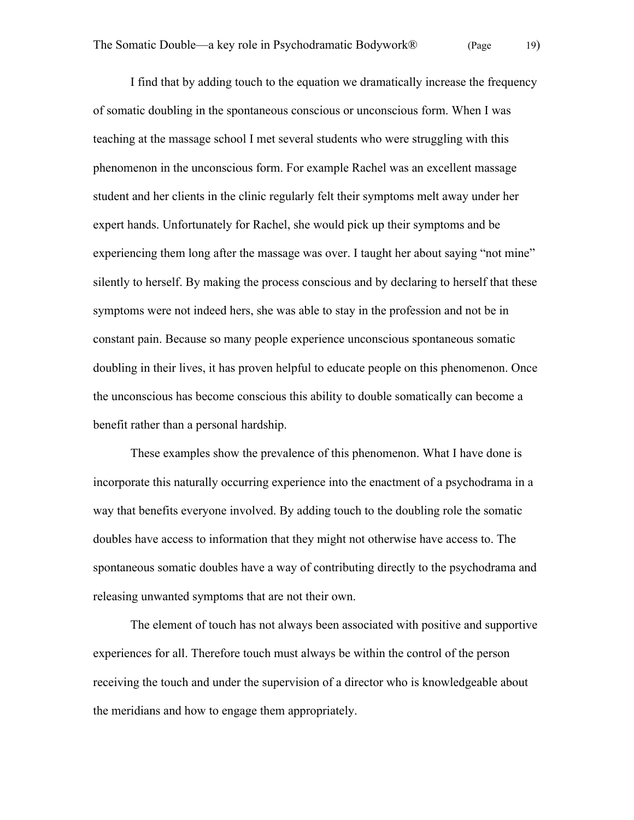I find that by adding touch to the equation we dramatically increase the frequency of somatic doubling in the spontaneous conscious or unconscious form. When I was teaching at the massage school I met several students who were struggling with this phenomenon in the unconscious form. For example Rachel was an excellent massage student and her clients in the clinic regularly felt their symptoms melt away under her expert hands. Unfortunately for Rachel, she would pick up their symptoms and be experiencing them long after the massage was over. I taught her about saying "not mine" silently to herself. By making the process conscious and by declaring to herself that these symptoms were not indeed hers, she was able to stay in the profession and not be in constant pain. Because so many people experience unconscious spontaneous somatic doubling in their lives, it has proven helpful to educate people on this phenomenon. Once the unconscious has become conscious this ability to double somatically can become a benefit rather than a personal hardship.

These examples show the prevalence of this phenomenon. What I have done is incorporate this naturally occurring experience into the enactment of a psychodrama in a way that benefits everyone involved. By adding touch to the doubling role the somatic doubles have access to information that they might not otherwise have access to. The spontaneous somatic doubles have a way of contributing directly to the psychodrama and releasing unwanted symptoms that are not their own.

The element of touch has not always been associated with positive and supportive experiences for all. Therefore touch must always be within the control of the person receiving the touch and under the supervision of a director who is knowledgeable about the meridians and how to engage them appropriately.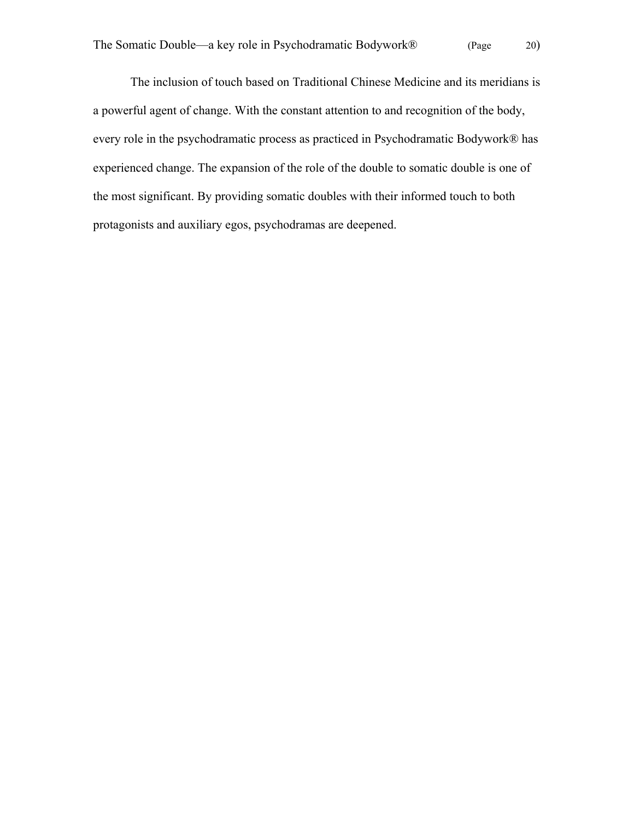The inclusion of touch based on Traditional Chinese Medicine and its meridians is a powerful agent of change. With the constant attention to and recognition of the body, every role in the psychodramatic process as practiced in Psychodramatic Bodywork® has experienced change. The expansion of the role of the double to somatic double is one of the most significant. By providing somatic doubles with their informed touch to both protagonists and auxiliary egos, psychodramas are deepened.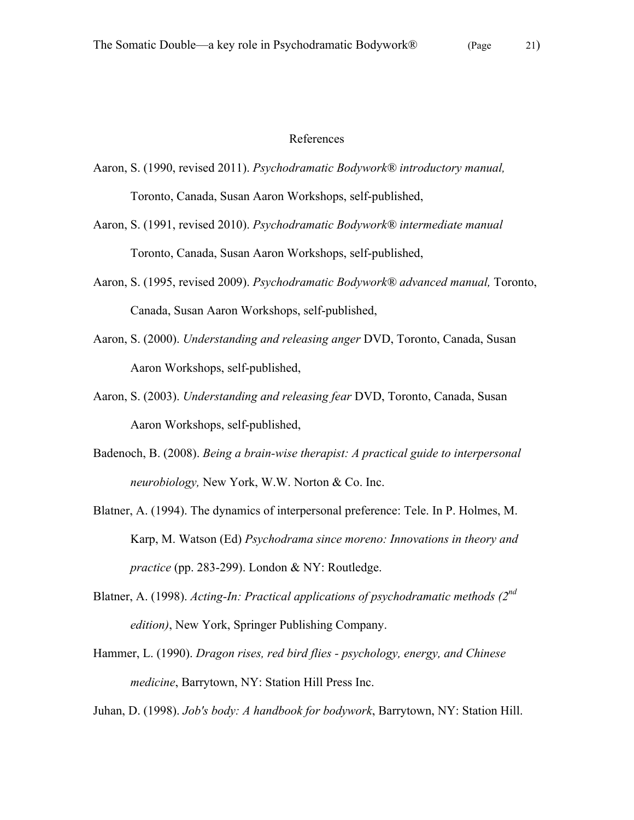## References

- Aaron, S. (1990, revised 2011). *Psychodramatic Bodywork® introductory manual,* Toronto, Canada, Susan Aaron Workshops, self-published,
- Aaron, S. (1991, revised 2010). *Psychodramatic Bodywork® intermediate manual* Toronto, Canada, Susan Aaron Workshops, self-published,
- Aaron, S. (1995, revised 2009). *Psychodramatic Bodywork® advanced manual,* Toronto, Canada, Susan Aaron Workshops, self-published,
- Aaron, S. (2000). *Understanding and releasing anger* DVD, Toronto, Canada, Susan Aaron Workshops, self-published,
- Aaron, S. (2003). *Understanding and releasing fear* DVD, Toronto, Canada, Susan Aaron Workshops, self-published,
- Badenoch, B. (2008). *Being a brain-wise therapist: A practical guide to interpersonal neurobiology,* New York, W.W. Norton & Co. Inc.
- Blatner, A. (1994). The dynamics of interpersonal preference: Tele. In P. Holmes, M. Karp, M. Watson (Ed) *Psychodrama since moreno: Innovations in theory and practice* (pp. 283-299). London & NY: Routledge.
- Blatner, A. (1998). *Acting-In: Practical applications of psychodramatic methods (2nd edition)*, New York, Springer Publishing Company.
- Hammer, L. (1990). *Dragon rises, red bird flies psychology, energy, and Chinese medicine*, Barrytown, NY: Station Hill Press Inc.

Juhan, D. (1998). *Job's body: A handbook for bodywork*, Barrytown, NY: Station Hill.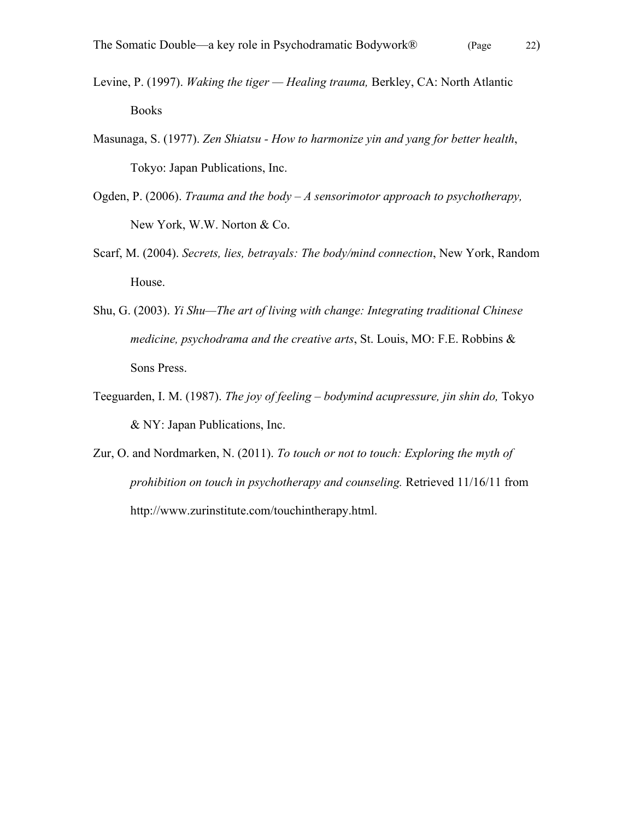- Levine, P. (1997). *Waking the tiger Healing trauma,* Berkley, CA: North Atlantic Books
- Masunaga, S. (1977). *Zen Shiatsu How to harmonize yin and yang for better health*, Tokyo: Japan Publications, Inc.
- Ogden, P. (2006). *Trauma and the body A sensorimotor approach to psychotherapy,*  New York, W.W. Norton & Co.
- Scarf, M. (2004). *Secrets, lies, betrayals: The body/mind connection*, New York, Random House.
- Shu, G. (2003). *Yi Shu—The art of living with change: Integrating traditional Chinese medicine, psychodrama and the creative arts*, St. Louis, MO: F.E. Robbins & Sons Press.
- Teeguarden, I. M. (1987). *The joy of feeling bodymind acupressure, jin shin do,* Tokyo & NY: Japan Publications, Inc.
- Zur, O. and Nordmarken, N. (2011). *To touch or not to touch: Exploring the myth of prohibition on touch in psychotherapy and counseling.* Retrieved 11/16/11 from http://www.zurinstitute.com/touchintherapy.html.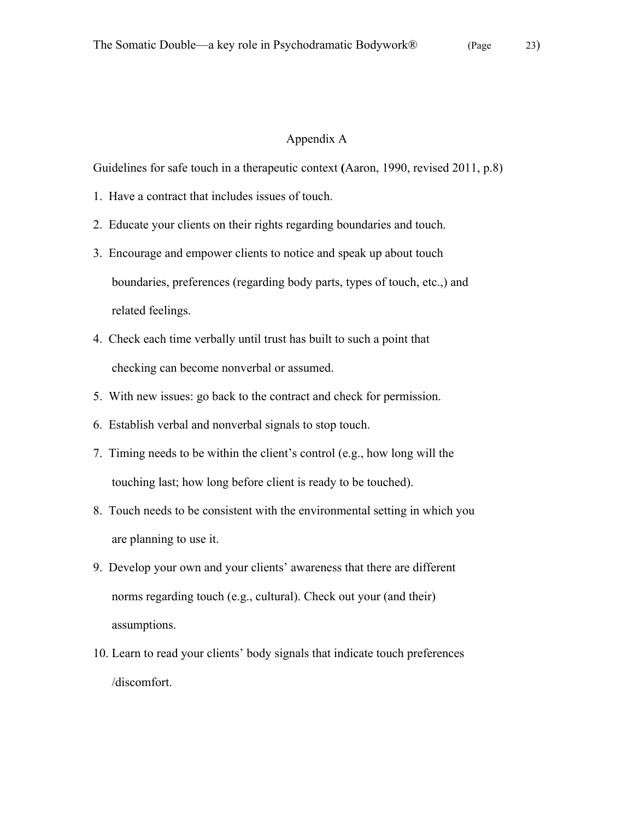## Appendix A

Guidelines for safe touch in a therapeutic context **(**Aaron, 1990, revised 2011, p.8)

- 1. Have a contract that includes issues of touch.
- 2. Educate your clients on their rights regarding boundaries and touch.
- 3. Encourage and empower clients to notice and speak up about touch boundaries, preferences (regarding body parts, types of touch, etc.,) and related feelings.
- 4. Check each time verbally until trust has built to such a point that checking can become nonverbal or assumed.
- 5. With new issues: go back to the contract and check for permission.
- 6. Establish verbal and nonverbal signals to stop touch.
- 7. Timing needs to be within the client's control (e.g., how long will the touching last; how long before client is ready to be touched).
- 8. Touch needs to be consistent with the environmental setting in which you are planning to use it.
- 9. Develop your own and your clients' awareness that there are different norms regarding touch (e.g., cultural). Check out your (and their) assumptions.
- 10. Learn to read your clients' body signals that indicate touch preferences /discomfort.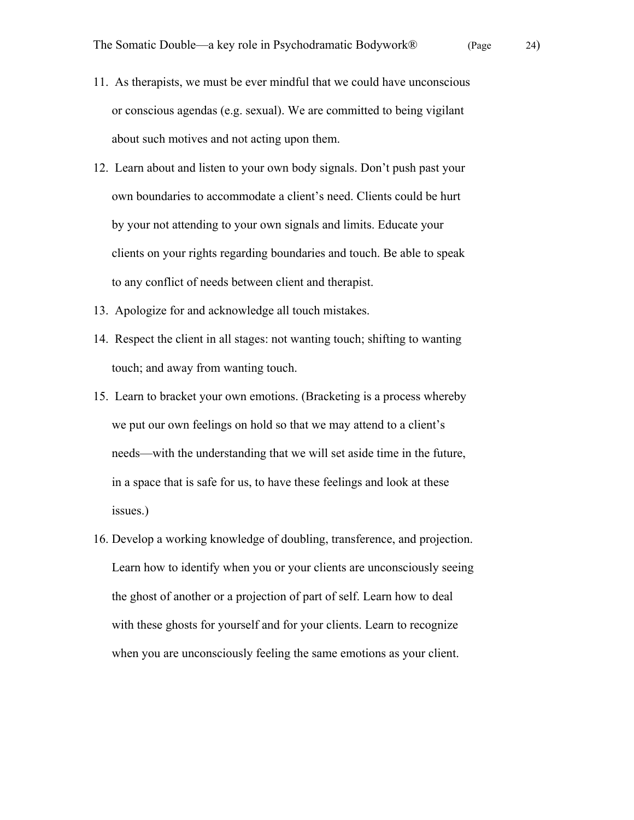- 11. As therapists, we must be ever mindful that we could have unconscious or conscious agendas (e.g. sexual). We are committed to being vigilant about such motives and not acting upon them.
- 12. Learn about and listen to your own body signals. Don't push past your own boundaries to accommodate a client's need. Clients could be hurt by your not attending to your own signals and limits. Educate your clients on your rights regarding boundaries and touch. Be able to speak to any conflict of needs between client and therapist.
- 13. Apologize for and acknowledge all touch mistakes.
- 14. Respect the client in all stages: not wanting touch; shifting to wanting touch; and away from wanting touch.
- 15. Learn to bracket your own emotions. (Bracketing is a process whereby we put our own feelings on hold so that we may attend to a client's needs—with the understanding that we will set aside time in the future, in a space that is safe for us, to have these feelings and look at these issues.)
- 16. Develop a working knowledge of doubling, transference, and projection. Learn how to identify when you or your clients are unconsciously seeing the ghost of another or a projection of part of self. Learn how to deal with these ghosts for yourself and for your clients. Learn to recognize when you are unconsciously feeling the same emotions as your client.